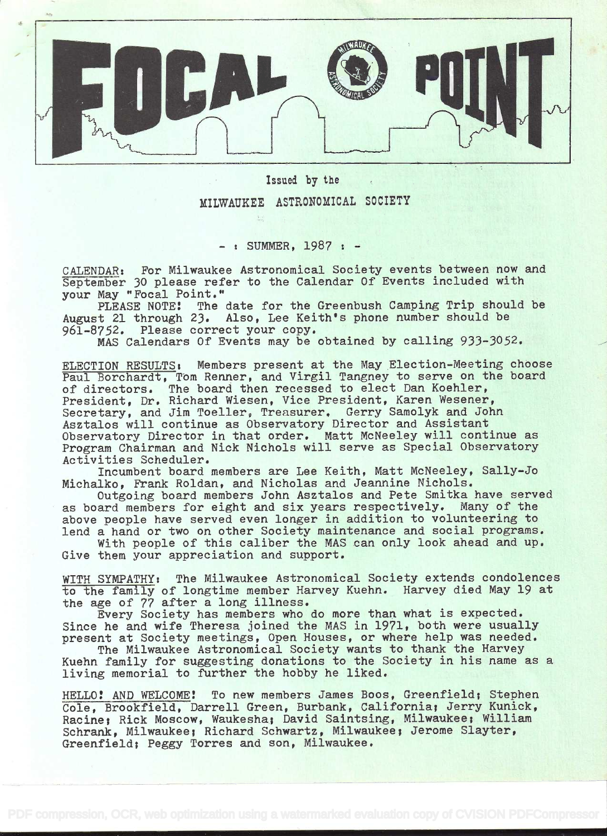

Issued by the

MILWAUKEE ASTRONOMICAL SOCIETY

 $-$  : SUMMER, 1987 :  $-$ 

CALENDAR: For Milwaukee Astronomical Society events between now and September 30 please refer to the Calendar Of Events included with your May "Focal Point."

PLEASE NOTE! The date for the Greenbush Camping Trip should be August 21 through 23. Also, Lee Keith's phone number should be 961-8752. Please correct your copy.

MAS Calendars Of Events may be obtained by calling 933-3052.

ELECTION RESULTS: Members present at the May Election-Meeting choose Paul Borchardt, TOm Renner, and Virgil Tangney to serve on the board of directors. The board then recessed to elect Dan Koehier, President, Dr. Richard Wiesen, Vice President, Karen Wesener, Secretary, and Jim Toeller, Treasurer. Gerry Samolyk and John Asztalos will continue as Observatory Director and Assistant Observatory Director in that order. Matt McNeeley will continue as Program Chairman and Nick Nichols will serve as Special Observatory Activities Scheduler.

Incumbent board members are Lee Keith, Matt McNeeley, Sally-Jo Michalko, Frank Roldan, and Nicholas and Jeannine Nichols.

Outgoing board members John Asztalos and Pete Smitka have served as board members for eight and six years respectively. Many of the above people have served even longer in addition to volunteering to lend a hand or two on other Society maintenance and social programs.

With people of this caliber the MAS can only look ahead and up. Give them your appreciation and support.

WITH SYMPATHYt The Milwaukee Astronomical Society extends condolences to the family of longtime member Harvey Kuehn. Harvey died May 19 at the age of 77 after a long illness.

Every Society has members who do more than what is expected. Since he and wife Theresa joined the MAS in 1971, both were usually present at Society meetings, Open Houses, or where help was needed.

The Milwaukee Astronomical Society wants to thank the Harvey Kuehn family for suggesting donations to the Society in his name as a living memorial to further the hobby he liked.

HELLO? AND WELCOME! To new members James Boos, Greenfield; Stephen Cole, Brookfield, Darrell Green, Burbank, Californiaj Jerry Kunick, Racine; Rick Moscow, Waukesha; David Saintsing, Milwaukee; William Schrank, Milwaukee; Richard Schwartz, Milwaukee; Jerome Slayter, Greenfield; Peggy Torres and son, Milwaukee.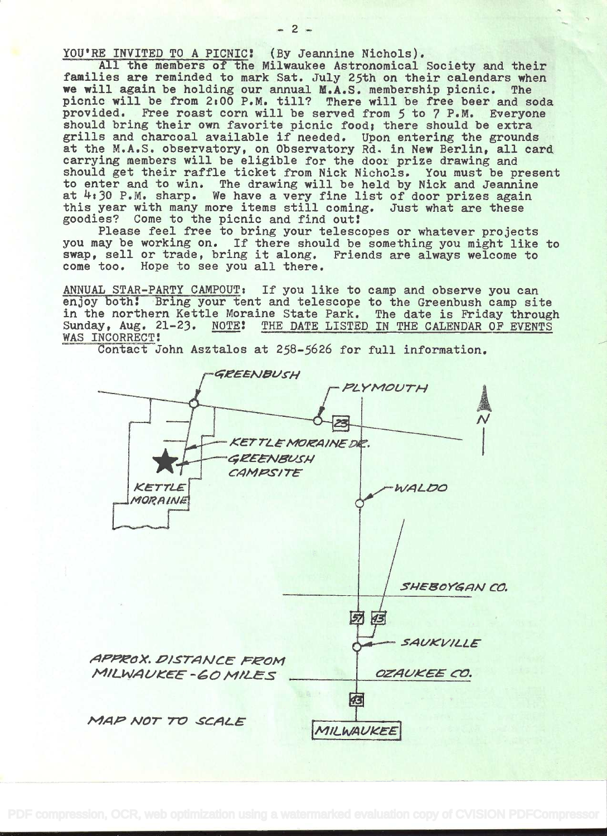YOU'RE INVITED TO A PICNIC! (By Jeannine Nichols).

All the members of the Milwaukee Astronomical Society and their families are reminded to mark Sat. July 25th on their calendars when we will again be holding our annual M.A.S. membership picnic. The picnic will be from 2:00 P.M. till? There will be free beer and soda provided. Free roast corn will be served from 5 to 7 P.M. Everyone should bring their own favorite picnic food; there should be extra grills and charcoal available if needed. Upon entering the grounds at the M.A.S. observatory, on Observatory Rd. in New Berlin, all card carrying members will be eligible for the door prize drawing and should get their raffle ticket from Nick Nichols. You must be present<br>to enter and to win. The drawing will be held by Nick and Jeannine<br>at 4:30 P.M. sharp. We have a very fine list of door prizes again this year with many more items still coming. Just what are these goodies? Come to the picnic and find out!

Please feel free to bring your telescopes or whatever projects you may be working on. If there should be something you might like to swap, sell or trade, bring it along. Friends are always welcome to come too. Hope to see you all there.

ANNUAL STAR-PARTY CAMPOUT: If you like to camp and observe you can enjoy both! Bring your tent and telescope to the Greenbush camp site in the northern Kettle Moraine State Park. The date is Friday through Sunday, Aug. 21-23. NOTE: THE DATE LISTED IN THE CALENDAR OF EVENTS WAS INCORRECT!

Contact John Asztalos at 258-5626 for full information.



 $-2$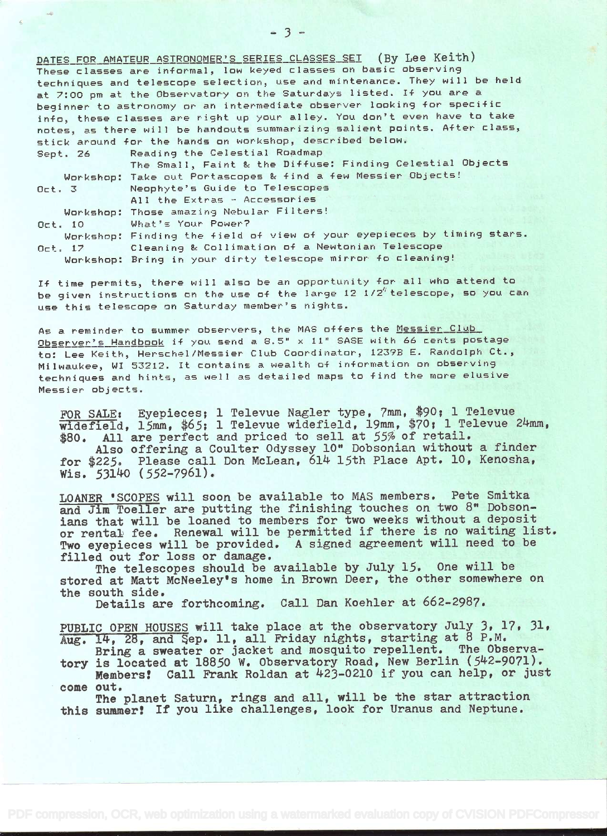DATES FOR AMATEUR ASTRONOMER'S SERIES CLASSES SET (By Lee Keith) These classes are informal, low keyed classes on basic observing techniques and telescope selection, use and mintenance. They will be held at 7:00 pm at the Observatory on the Saturdays listed. If you are a beginner to astronomy or an intermediate observer looking for specific info, these classes are right up your alley. You don't even have to take notes, as there will be handouts summarizing salient points. After class, stick around for the hands on workshop, described below.

Sept. 26 Reading the Celestial Roadmap

The Small, Faint & the Diffuse: Finding Celestial Objects Workshop: Take out Portascopes & find a few Messier Objects!<br>3 Meophyte's Guide to Telescopes

Oct. 3 Neophytes Guide to Telescopes All the Extras - Accessories

Workshop: Those amazing Nebular Filters!

Oct. 10 What's Your Power?

Workshop: Finding the field of view of your eyepieces by timing stars. Oct. 17 Cleaning & Collimation of a Newtonian Telescope

Workshop: Bring in your dirty telescope mirror fo cleaning!

If time permits, there will also be an opportunity for all who attend to be given instructions on the use of the large 12  $1/2''$  telescope, so you can use this telescope or Saturday member's nights.

As a reminder to summer observers, the MAS offers the <u>Messier Club</u> As a reminder to summer observers, the MAS offers the <u>messier club.</u><br><u>Observer's Handbook</u> if you send a 8.5" x 11" SASE with 66 cents postage to: Lee Keith, Herschel/iessier Club Coordinator, 1239E E. Randolph Ct., Milwaukee, WI 53212. It contains a wealth of information on observing techniques and hints, as well as wealth of information on observing<br>techniques and hints, as well as detailed maps to find the more elusive Messier objects.

FOR SALE: Eyepieces; 1 Televue Nagler type, 7mm, \$90; 1 Televue widefield, 15mm, \$65; 1 Televue widefield, 19mm, \$70; 1 Televue 24mm, \$80. All are perfect and priced to sell at 55% of retail.

Also offering a Coulter Odyssey 10" Dobsonian without a finder for \$225. Please call Don McLean, 614 15th Place Apt. 10, Kenosha, Wis.  $53140$  (552-7961).

LOANER 'SCOPES will soon be available to MAS members. Pete Smitka and Jim Toeller are putting the finishing touches on two 8" Dobsonians that will be loaned to members for two weeks without a deposit or rental fee. Renewal will be permitted if there is no waiting list.<br>Two eyepieces will be provided. A signed agreement will need to be A signed agreement will need to be filled out for loss or damage.

The telescopes should be available by July 15. One will be stored at Matt McNeeley's home in Brown Deer, the other somewhere on the south side.

Details are forthcoming. Call Dan Koehier at 662-2987.

PUBLIC OPEN HOUSES will take place at the observatory July 3, 17, 31, Aug. 14, 28, and Sep. 11, all Friday nights, starting at  $8$  P.M.<br>Bring a sweater or jacket and mosquito repellent. The Observa-

Bring a sweater or jacket and mosquito repellent. tory is located at 18850 W. Observatory Road, New Berlin (542-9071). Members! Call Frank Roldan at 423-0210 if you can help, or just

come out.

The planet Saturn, rings and all, will be the star attraction this summer! If you like challenges, look for Uranus and Neptune.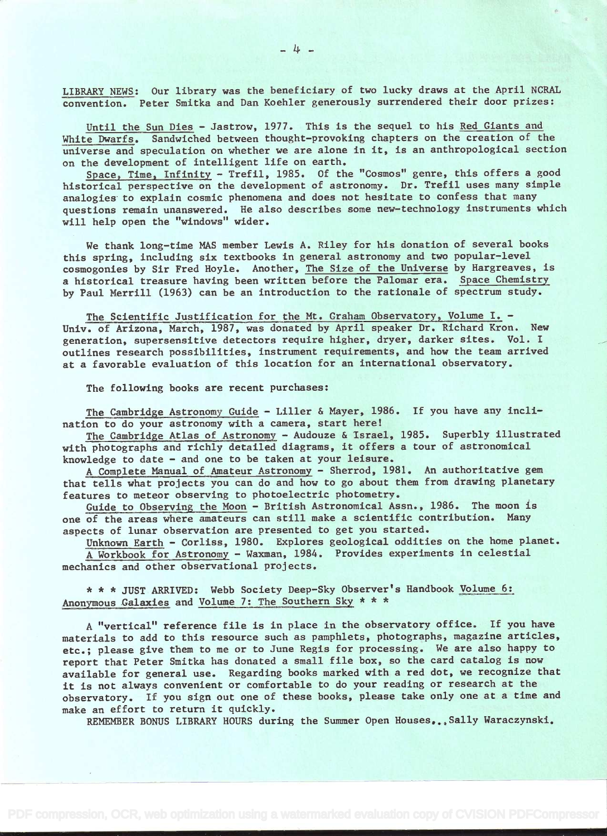LIBRARY NEWS: Our library was the beneficiary of two lucky draws at the April NCRAL convention. Peter Smitka and Dan Koehler generously surrendered their door prizes:

Until the Sun Dies - Jastrow, 1977. This is the sequel to his Red Giants and White Dwarfs. Sandwiched between thought-provoking chapters on the creation of the universe and speculation on whether we are alone in it, is an anthropological section on the development of intelligent life on earth.

Space, Time, Infinity - Trefil, 1985. Of the "Cosmos" genre, this offers a good historical perspective on the development of astronomy. Dr. Trefil uses many simple analogies to explain cosmic phenomena and does not hesitate to confess that many questions remain unanswered. He also describes some new-technology instruments which will help open the "windows" wider.

We thank long-time MAS member Lewis A. Riley for his donation of several books this spring, including six textbooks in general astronomy and two popular-level cosmogonies by Sir Fred Hoyle. Another, The Size of the Universe by Hargreaves, is a historical treasure having been written before the Palomar era. Space Chemistry by Paul Merrill (1963) can be an introduction to the rationale of spectrum study.

The Scientific Justification for the Mt. Graham Observatory, Volume I. -Univ. of Arizona, March, 1987, was donated by April speaker Dr. Richard Kron. New generation, supersensitive detectors require higher, dryer, darker sites. Vol. I outlines research possibilities, instrument requirements, and how the team arrived at a favorable evaluation of this location for an international observatory.

The following books are recent purchases:

The Cambridge Astronomy Guide - Liller & Mayer, 1986. If you have any inclination to do your astronomy with a camera, start here!

The Cambridge Atlas of Astronomy - Audouze & Israel, 1985. Superbly illustrated with photographs and richly detailed diagrams, it offers a tour of astronomical knowledge to date - and one to be taken at your leisure.

A Complete Manual of Mnateur Astronomy - Sherrod, 1981. An authoritative gem that tells what projects you can do and how to go about them from drawing planetary features to meteor observing to photoelectric photometry.

Guide to Observing the Moon - British Astronomical Assn., 1986. The moon is one of the areas where amateurs can still make a scientific contribution. Many aspects of lunar observation are presented to get you started.

Unknown Earth - Corliss, 1980. Explores geological oddities on the home planet. A Workbook for Astronomy - Waxman, 1984. Provides experiments in celestial mechanics and other observational projects.

\* \* \* JUST ARRIVED: Webb Society Deep-Sky Observer's Handbook Volume 6: Anonymous Galaxies and Volume 7: The Southern Sky \* \* \*

A "vertical" reference file is in place in the observatory office. If you have materials to add to this resource such as pamphlets, photographs, magazine articles, etc.; please give them to me or to June Regis for processing. We are also happy to report that Peter Smitka has donated a small file box, so the card catalog is now available for general use. Regarding books marked with a red dot, we recognize that it is not always convenient or comfortable to do your reading or research at the observatory. If you sign out one of these books, please take only one at a time and make an effort to return it quickly.

REMEMBER BONUS LIBRARY HOURS during the Summer Open Houses... Sally Waraczynski.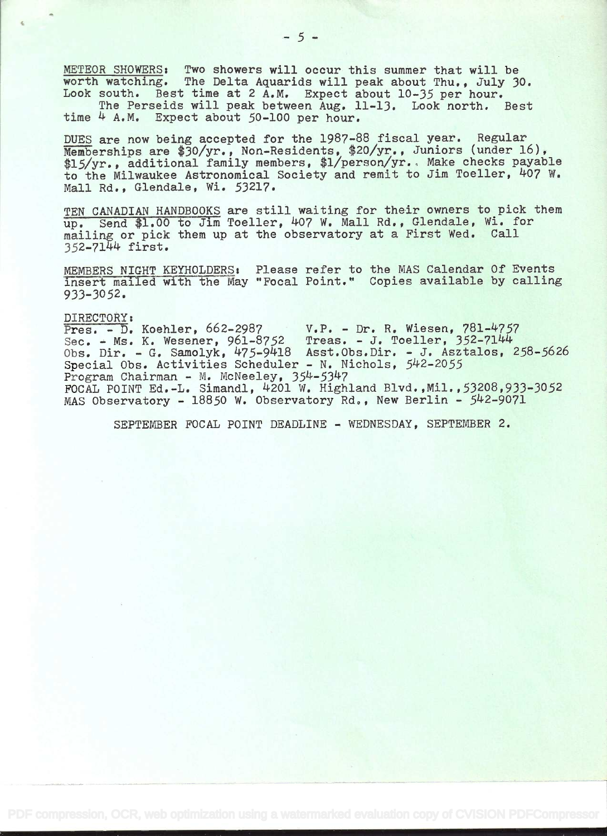METEOR SHOWERS: Two showers will occur this summer that will be worth watching. The Delta Aquarids will peak about Thu., July 30. Look south. Best time at 2 A.M. Expect about 10-35 per hour.

The Perseids will peak between Aug. 11-13. Look north. Best time 4 A.M. Expect about 50-100 per hour.

DUES are now being accepted for the 1987-88 fiscal year. Regular Memberships are \$30/yr., Non-Residents, \$20/yr., Juniors (under 16), \$15/yr., additional family members, \$1/person/yr. Make checks payable to the Milwaukee Astronomical Society and remit to Jim Toeller, +O7 W. Mall Rd., Glendale, WI. 53217.

TEN CANADIAN HANDBOOKS are still waiting for their owners to pick them up. Send \$1.00 to Jim Toeller, 407 W. Mall Rd., Glendale, Wi. for mailing or pick them up at the observatory at a First Wed. Call 352-7144 first.

MEMBERS NIGHT KEYHOLDERS: Please refer to the MAS Calendar Of Events insert mailed with the May "Focal Point." Copies available by calling 933-3052.

DIRECTORY:<br>Pres. - D. Koehler, 662-2987 Pres. - D. Koehier, 662-2987 V.P. - Dr. R. Wiesen, 781-4757 Sec. - Ms. K. Wesener, 961-8752 Treas. - J. Toeller, 352-7144 Obs. Dir. - G. Samolyk, 475-9418 Asst.Obs.Dir. - J. Asztalos, 258-5626 Special Obs. Activities Scheduler - N. Nichols, 542-2055 Program Chairman - M. McNeeley, 354-5347 FOCAL POINT Ed.-L. Simandl, 4201 W. Highland Blvd. ,Mil.,53208,933-3052 MAS Observatory - 18850 W. Observatory Rd., New Berlin - 542-9071

SEPTEMBER FOCAL POINT DEADLINE - WEDNESDAY, SEPTEMBER 2.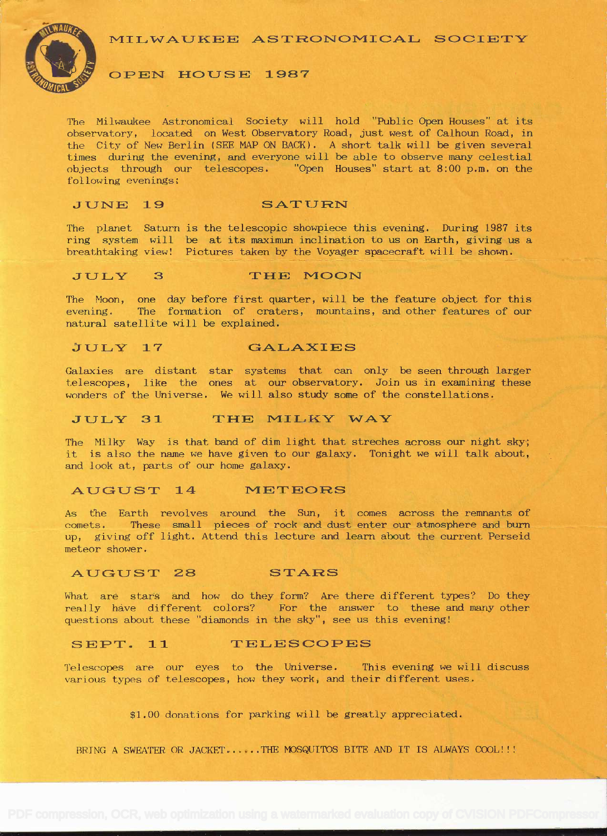MILWAUKEE ASTRONOMICAL SOCIETY



### OPEN HOUSE 1987

The Milwaukee Astronomical Society will hold "Public Open Houses" at its observatory, located on West Observatory Road, just west of Calhoun Road, in the City of New Berlin (SEE MAP ON BACK) . A short talk will be given several times during the evening, and everyone will be able to observe many celestial objects through our telescopes. "Open Houses" start at 8:00 p.m. on the following evenings:

#### JUNE 19 SATURN

The planet Saturn is the telescopic showpiece this evening. During 1987 its ring system will be at its maximun inclination to us on Earth, giving us a breathtaking view! Pictures taken by the Voyager spacecraft will be shown.

#### JULY 3 THE MOON

The Moon, one day before first quarter, will be the feature object for this evening. The formation of craters, mountains, and other features of our natural satellite will be explained.

### JULY 17 GALAXIES

Galaxies are distant star systems that can only be seen through larger telescopes, like the ones at our observatory. Join us in examining these wonders of the Universe. We will also study some of the constellations.

## JULY 31 THE MILKY WAY

The Milky Way is that band of dim light that streches across our night sky; it is also the name we have given to our galaxy. Tonight we will talk about, and look at, parts of our home galaxy.

#### AUGUST 14 METEORS

As the Earth revolves around the Sun, it comes across the remnants of comets. These small pieces of rock and dust enter our atmosphere and burn up, giving off light. Attend this lecture and learn about the current Perseid meteor shower.

#### AUGUST 28 STARS

What are stars and how do they form? Are there different types? Do they really have different colors? For the answer to these and many other questions about these "diamonds in the sky", see us this evening!

#### SEPT. 11 TELESCOPES

Telescopes are our eyes to the Universe. This evening we will discuss various types of telescopes, how they work, and their different uses.

\$1.00 donations for parking will be greatly appreciated.

BRING A SWEATER OR JACKET......THE MOSQUITOS BITE AND IT IS ALWAYS COOL!!!